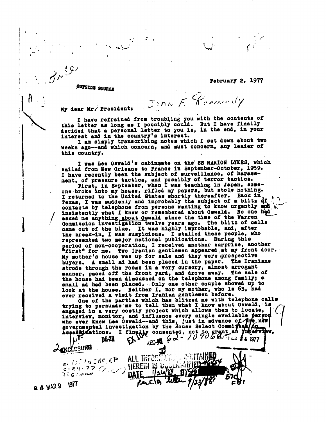**February 2, 1977** 

• . •

**OUTSIDE SOURCE** 

JONN F. Remaindy

**My dear Mr.-'Presidents** 

**/**

**I have refrained from troub],ing you with the contents of this letter as long as I possibly could. But I have finally decided that a personal letter to you is, in the end, in your interest and in the country's interest.** 

**I am simply transcribing notes which I set down about two weeks ago--and which concern, and must concern, any leader of this country.** 

**I was Lee Oswald's cabinmate on the SSMARION LYKES, which sailed from New Orleans to France in September-October, 1959. I have recently been the subject of surveillance, of harassment, of pressure tactics, and possibly of terror tactics.** 

**First, in September, when I was teaching in Japan, someone.broke into my house, rifled my papers, but stole nothing. I returned to the United States shortly thereafter. Back in**  Texas, I was suddenly and improbably the subject of a blitz  $df$ . **........,-** contacts by telephone from persons wanting to know urgently and insistently what I knew or remembered about Oswald. No one had asked me anything about Oswald since the time of the Warren Commission investigation twelve years ago. The blitz of calls **came out of the blue. It was highly improbable, and, after the break-in, I was suspicious. I stalled these people, who represented two major national publications. During this period of non-cooperation, I received another surprise, another "first" for me. Two Iranian gentlemen appeared** at **my front door.-**  My mother's house was up for sale and they were prospective **buyers. A small ad had been placed in the paper. The Iranians strode through the rooms in a very cursory, almost arrogant manner, paced off the front yard, and drove away. The sale of the house had been discussed on the telephone among family; a small ad had been placed.. Only one other couple showed up to look at the house. Neither I, nor my mother, who is 63, had ever received a visit from Iranian gentlemen before.** 

**One of the parties which has blitzed me with telephone calls trying to persuade me to tell them what I know about Oswald,- is engaged in a very costly project which allows them to locate, who ever inew Lee Oswald--and this, just in advance o As a 6 ations. I** ii jr consented, **not jo wchnt an**  interview**, monitor, and influence every single** available **• governme tal investigation by the House Select Commi etv w**  *new*  **t i,j** 

**YI4P**   $P^2 = 28$  **CA***V***<sub><b>R i***CA***<b>B**<sub>*Q*</sub> *d v<sub>D</sub><sup><i>Q*</sup>*D***<sub>***B***</mark></sup>**</sub></sub> **0 -**   $44.76$ **.- ,, ,,efriCcp** ALL Ilia.;.7:i :' . .;.)iiThiN r - *z ,i - 7* **7/-x- , ,-..** .-.) IIEREiii I- LI : 1.1V <sup>y</sup> .' 2:6:00 **CATE** 1/26/89 **t..iic. ... <sup>Q</sup>***4* **Wa 9VT**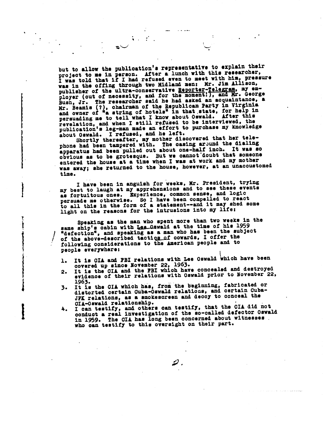**but to allow the publication's representative to explain their project to me in person. After a lunch with this researcher, I was told that if I had refused even to meet with him, pressure was in the offing through two Midland men: Mr. Jim Allison, publisher of the ultra-conservative Reporter-Telegram, my em**ployer (out of necessity, and for the moment!), and Mr. George **Bush, Jr. The researcher said he had asked an acquaintance, a Mr. Beamis (?), chairman of the Republican Party in Virginia and owner of "a string of hotels" in that state, for help in persuading me to tell what I know, about Oswald. After this revelation, and when I still refused to be interviewed, the publication's leg-man made an effort to purchase my knowledge** 

•

**about Oswald. I refused, and he left. Shortly thereafter, my mother discovered that her tele** apparatus had been pulled out about one-half inch. It was so **obvious as to be grotesque. But we cannot'doubt that someone entered the house at a time when I was at work and my mother was away; she returned to the house, however, at an unaccustomed time.** 

**I have been in anguish for weeks, Mr. President, trying my best to laugh at my apprehensions and to see these events** persuade me otherwise. So I have been compelled to react to all this in the form of a statement--and it may shed some **light on the reasons for the intrusions into my life:** 

Speaking as the man who spent more than two weeks in the same ship's cabin with Lee Cawald at the time of his 1959 *\*defection", and speaking as a man who has been the subject* of the above-described tactics of cowards, I offer the **' following considerations to the American people and to people everywhere:** 

- 1. It is CIA and FBI relations with Lee Oswald which have been
- **covered up since November 22, 1963. 2. It is the CIA and the FBI which have concealed and destroyed evidence of their relations with Oswald prior to November 22,**
- 1963. It is the CIA which has, from the beginning, fabricated or **3. It is the CIA which his, fret the beginning, fabricated or distorted certain Cuba-Oswald relations, and certain Cuba-** JFK relations, as a smokescreen and decoy to conceal the
- CIA-Oswald relationship.<br>I can testify, and others can testify, that the CIA did not **4. I can testify, and others can testify, that the CIA did not conduct a real investigation of the so-called defector Oswald in 1959. The CIA has long been concerned about witnesses . who can testify to this oversight on their part.**

ይ.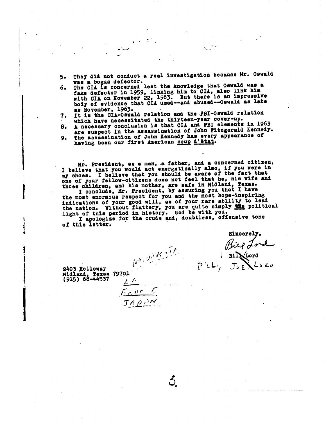**5. They did not conduct a real investigation because Mr. Oswald** 

•

- **was a bogus defector. 6. The CIA is concerned lest the knowledge that Oswald was a fake defector in 1959, linking him to 01A, also link him with CIA on November 22, 1963. But there is an impressive body of evidence that OIL used--and abused--Oswald as late as November, 1963.**
- **7. It is the OIL-Oswald relation and the4BI-Oswald relation • which have necessitated the thirteen-year cover-up.**
- **8. A necessary conclusion is that OIL and FBI elements in 1963 are suspect in the assassination of John Fitzgerald Kennedy.**
- **9. The assassination of John Kennedy has every appearance o<sup>f</sup>** having been our first American **<u>coup d'état</u>.**

Mr. President, as a man, a father, and a concerned citizen, I believe that you would act energetically also, if you were in my shoes. I believe that you should be aware of the fact that<br>one of your fellow-citizens does not feel that he, his wife and **three children, and his mother, are safe in Midland, Texas. • • I conclude, Mr. President, by assuring you that I have the most enormous respect for you and the most hope-inspiring indications of your good will, as of your rare ability to lead the nation. Without flattery, you are quite simply tRe political light of this period in history. God be with you. I apologize for the crude and, doubtless, offensive tone** 

**of this letter.** 

 $F \times 10^{-6}$ 

JADIN

**Sincerely,**  Bil**N**Lord  $P$ *i***L**,  $J_0$ **E**  $L_0$ **e** 

**.2403 Holloway Midland, Texas 79701 (915) 68-44537** 

1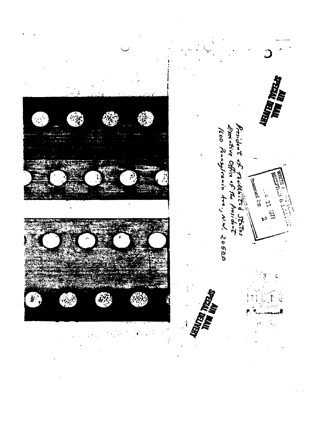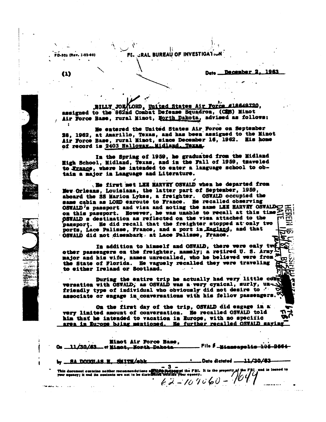**FE,.-zRAL BUREAU OF INVESTIOAlhoti** 

**I .** 

1963 December 2 **Det•** 

BILLY JOR LORD, United States Air Force **assigned to the 882xd Combat Defense Squadron, (CMS) Minot assigned to the 882xd Combat Defense Squadron, (CMS) Minot Air Force Base, rural Minot, ]forth pakota advised as follows:** 

%% •

 $\sim$  **1** 

-••

(1)

**PD402 (Rev. 13540)** 

**•** 

**Me entered the United States Air Force on September 28, 1962, at Amarillo, Texas, and has been'assigned to the Minot Air Force Base, rural Minot, since December 16, 1982. Mis home**  of record is 2403 Halloway. Nidland. Texas.

In the Spring of 1959, he graduated from the Midland **Ugh School, Midland, Texas, and in the Fall of 1959, tiaveled**  to France, where he intended to enter a language school to ob**tain a major is Language and Literature.** 

**..201 first 1st LIB limit' OSWALD when he departed from Mew-Orleans, Louisiana, the latter part of September, 1959, aboard the SS Marion Lykes, a freighter. OSWALD occupied the sane cabin as LORD enroute to Francs. Re recalled observing OSWALD's passport and visa and noting the same LEE HARVEY OSWALDCY FREE** on this passport. However, he was unable to recall at this time $\mathbb Z$  $\beta$ SWALD s destination as reflected on the visa attached to the **paisport. Be did recall that the freighter stopped at•only two**  ports, Lace Palisse, France, and a port in England, and that **OSWALD did not. isembark, at Lace Pelisse, trance.** 

In addition to himself and OSWALD, there were only two. **other passengers on the freighter, namely; a retired U. S. Army major and his wife, names** unrecalied, **who he believed were from the State of Florida. He vaguely recalled they were traveling to either Ireland or Scotland. - •** 

During the entire trip he actually had very little come **wrestles with OSWALD; as- OSWALD- was a-very cynical, surly, un**  friendly type of individual who obviously did not desire to  $'$ **associate or engage in,conversations with his fellow passengers.** 

**On the first day of the trip, OSWALD did engage in very United amount of conversation. Re recalled OSWALD told him that he intended to vacation in Europe, with no specific and all that he further recalled OSWAID maying** 

**Minot Air Force Base, 4, — File Audiseibipea441-44641 .54+- 11.1343 — et** 

| This decusest centrine notther reconnentations and the requirement the FBI. It is the property of the FBI. and is located to your equacy; it and its content to your equacy, |
|------------------------------------------------------------------------------------------------------------------------------------------------------------------------------|
|                                                                                                                                                                              |
|                                                                                                                                                                              |

 $\mathbf{e}^{\mathbf{e}}$  **•**  $\mathbf{e}^{\mathbf{e}}$  **•**  $\mathbf{e}^{\mathbf{e}}$  **•**  $\mathbf{e}^{\mathbf{e}}$  **•**  $\mathbf{e}^{\mathbf{e}}$  **•**  $\mathbf{e}^{\mathbf{e}}$  **•**  $\mathbf{e}^{\mathbf{e}}$  **•**  $\mathbf{e}^{\mathbf{e}}$  **•**  $\mathbf{e}^{\mathbf{e}}$  **•**  $\mathbf{e}^{\mathbf{e}}$  **•**  $\mathbf{e}^{\mathbf{e}}$  **•**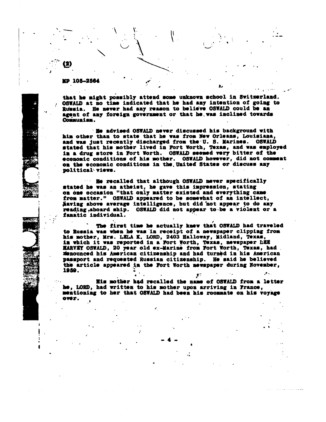**M10. 105-2514** 

•

1

 $\overline{\mathbf{2}}$ 

**that he might possibly attend some unknown school in Switzerland. / OSWALD at no time indicated that he had any intention of going to Russia. He never had any reason to believe OSWALD could be an agent of any foreign government or that he, was inclined towards Communism.** 

•

• 11

**Re advised OSWALD never discussed his background with him other than to state that he was from New Orleans, Louisiana, and was just recently discharged from tho. U. S. Marines. OSWALD stated that his mother lived in Fort Worth, Texas, and was employed in a drug store in Fort Worth. OSWALD seemed very bitter of the economic conditions of his mother. OSWALD however, did not comment on the economic conditions in the. United States or discuss any**  political views.

**He recalled that although OSWALD never specifically stated he was an atheist, he gave this impression, stating on one occasion "that only matter existed and everything came from matter." OSWALD appeared to be somewhat of an intellect, \$aving above average intelligence, but did not appear to do any reading.aboard ship. OSWALD did not appear to-be a violent or a fanatic individual.** 

The first time he actually knew that OSWALD had traveled **to Russia was when he wasin receipt of a newspaper clipping from his mother, Mrs. UCLA M. LORD, 2403 Ralloway, Midland, Texas, in which it was reported in a Fort Worth, Texas, newspaper LIM MARVIT OSWALD, 20 year old ex-Marine from Fort Worth, Texas, had denounced his American citizenship and had turned in his American passport and requested Russian citizenship. He said he believed the article appeared in the Fort Worth newspaper during November, 1959.**   $\mathcal{L}$  $\mathbf{r}$ 

**Mis mother had recalled the name of OSWALD from a letter he, LORD, had written to his mother upon arriving in France, mentioning to her that OSWALD had been his roommate on his voyage over.** 

**- 4 -**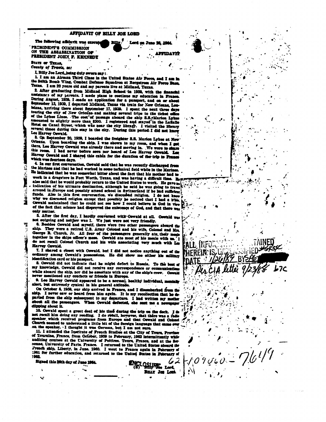## AFFIDAVIT OF BILLY JOE LORD

 $BIIIx^7$  Lord on Ju

20 گھ م

**LITIDAYIT** 

NEN

The following affidavit was execute PRESIDENT'S COMMISSION ON THE ASSASSINATION OF PRESIDENT JOHN F. KENNEDT

STATE OF TEXAS. County of Travis, se:

ž

I, Billy Joe Lord, heing duly sworn say:

1. I am an Airman Third Class in the United States Air Force, and I am h the 340th Bomb Wing, Combat Defense Squadron at Bergstrom Air Force Bass, Tuxas. I am 22 years old and my parents live at Midland, Texas.

2. After graduating from Midland High School in 1959, with the financial assistance of my parents. I made plans to continue my education in France. During August, 1959, I made an application for a passport, and on or about September 15, 1959, I departed Midland, Texas via train for New Orleans, Loumiana, arriving there about September 17, 1939. I spent the next three days touring the city of New Orleans and making several trips to the ticket office of the Lykes Lines. The cost'of passage aboard the ship S.S. Marion Lykes assounted to slightly more than \$200. I registered and stayed'in the LaSalle Hotel on Canal Street, which was near the city library. I visited the l several times during this stay in the city. During this period I did not know Lee Harvey Oswald.

3. On September 20, 1959, I boarded the freighter S.S. Marion Lykes at New Orleans. Upon boarding the ship, I was shown to my room, and when I get there, Lee Harvey Oswald was already there and moving in. We were to share this room. I had never before seen nor heard of Lee Harvey Cownid. Lee Harvey Oswald and I chared this cabin for the duration of the trip to Franc which was fourteen days.

4. In our first conversation, Oswald said that he was recently discharged from the Marines and that he had worked in some technical field while in the Marines. He indicated that he was somewhat bitter about the fact that his mother had to work in a drugstore in Fort Worth, Texas, and was having a difficult time. Be also said that he would probably return to the United States to work. He gave no indication of his ultimate destination, although he said he was going to travel around in Europe and possibly attend school in Switzerland if he had sufficient funds. Also in this first conversation, we discussed religion. I do not know why we discussed religion except that possibly he noticed that I had a bible. Cowald maintained that he could not see how I could believe in God in view of the fact that science had disproved the existence of God, and that there was

only matter. 5. After the first day, I hardly conversed with Oowald at all. Ownald was

not outgoing and neither was I. We just were not very friendly. 6. Besides Oswald and myself, there were two other passengers aboard the

ship. They were a retired U.S. Army Colonel and his wife, Colonel and Mrs. George B. Church, Jr. All four of the passengers generally ate their mesh together in the ships officer's mess. Oswald ate most of his meals with un. 'n do not recall Colonel Church and his wife associating very much with Lee Harvey Oswald.

7. I shared a closet with Oswald, but I did not notice anything out of the ordinary among Oswald's possessions. He did show me either his military identification card or his passport.

8. Oswald did not indicate that he might defect to Russia. To the best of my knowledge, Oswald did not receive any correspondence or communications while aboard the ship, nor did he associate with any of the ship's crew. Oswald never mentioned any contacts or friends in Europe.

9. Lee Harvey Oswald appeared to be a normal, healthy individual, mea alert, but extremely cynical in his general attitude.

On October 5, 1959, our ship arrived in France, and I disembarked from the ship. I never saw or heard from him again. It is my recollection that he departed from the ship subsequent to my departure. I had written my mother shout all the passengers. When Oswald defected, she sent me a newspaper dipping about it.

10. Owwald spent a great deal of his time during the trip on the deck. I de not recall him doing any reading. I do retail, however, that there was a re مالك wher which received programs from Europe and that Oswald and Colonel Church seemed to understand a little bit of the foreign language that came ever on the speaker. I thought it was German, but I am not sure.

11. I attended the Institute of French Studies at the City of Tours, Provin of Tournine, France, from October, 1959 to February, 1962 intermittently while auditing courses at the University of Politics. Tours, France, and at the Sornonne, University of Paris, France. I returned to the United States aboard the French ship, Liberty, in June. 1960. I went to France again in February of 1961 for further education, and returned to the United States in February of 1982 62

**Collection** Lord Buir Jos Lond

Signed this 20th day of June 1964.

ų.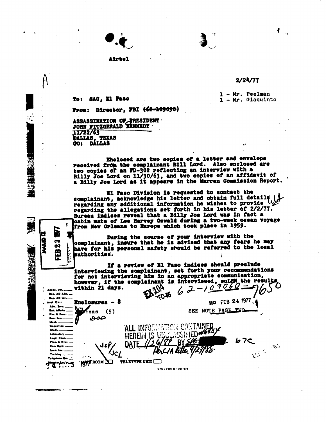## **Airtel**

## 2/24/77

**1 - Mr. Peelman To: SAC, El Paso 1 - Mr. Giaquinto** 

**From:** Director, FBI (42-109090)

**ASSASSINATION UPpIRESIDENT.**  JOHN FITZGERALD **IENNEDI** 11/22/63 **DALLAS, TEXAS<br>00: DALLAS** 

**Eholosed are two copies of a letter and envelope received from the eomplainant Bill Lord. Also enclosed are two copies or an 7D-302 reflecting an interview with a Billy Joe Lord on 11/30/63, and two copies of an affidavit of a Billy Joe Lord as it appears in the Warren Commission Report.** 

El **Paso Division is requested to contact the regarding any additional information he wishes to provide**  complainant, acknowledge his letter and obtain full details **regarding the allegations set forth in his letter of 2/2/77. Bureau indices reveal that a Billy Joe Lord was in fact a cabin mate of Los Harvey Oswald during a two-week ocean voyage from New Orleans to Europe which took place in 1959.** 

**During the course of your interview with the complainant, insure that he is advised that any fears he may have for his personal safety should be referred to the local**  $\frac{1}{2}$ **uthoritied.** 

**If a review of El Paso indices should preclude interviewing the complainant, set forth your recommendations for not interviewing his in an appropriate communication, however, if the complainant is interviewed, sULHX the results within 21 days.** 

GPO: 1976 0 - 207-526

 $\frac{1}{2}$ 

SEE NOTE PAGE TWO

**<sup>20</sup>FEB 24 1071** 

**Iv 7** 

 $\mathcal{N}$ 

 $\mathcal{C}^{\otimes 5}$ 

Dep. AD Adm. .... Dep. AD Inv. **Enclosures - 8**  Asst. Dir.: Adm. Serv. **Eat. Affairs** Fla. & Pers. Gen. Inv. Maan. **Inepection** Intell. Laboratory Legel Co Plen, & Evel. Roc. Mgm. Sooe. lav. **Training** 

V.

È

್<br>ನ E2

Assoc. Dir.

변 **CINA** 

2000年

 $\ddot{\mathcal{L}}$ 

Teleshano Rm. ... **There** 

DATE TELETYPE UNIT

**HEREIN IS UP** 

<u> I lo</u>

ALL INFO.

**NOTE** ROOM

JsP,

 $\chi^2$ 

**:sas (5)** 

صەھ

I